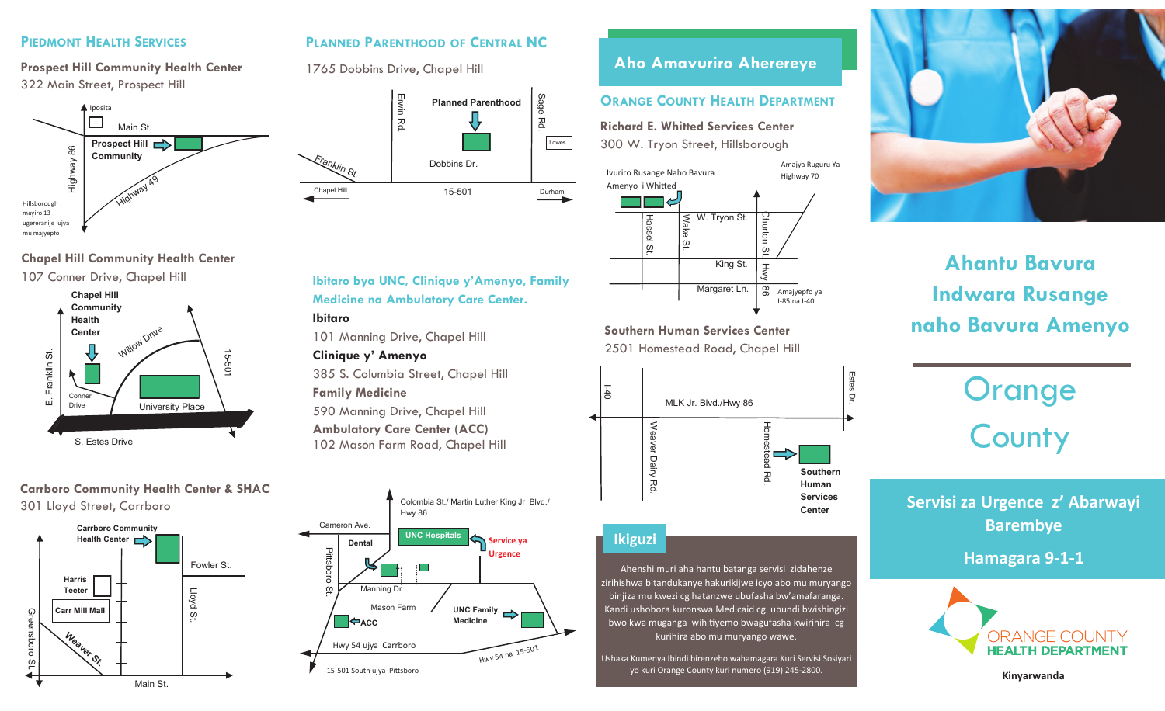#### **PIEDMONT HEALTH SERVICES PIEDMONT HEALTH SERVICES PIEDMONT HEALTH SERVICES PIEDMONT HEALTH SERVICES**

**Prospect Hill Community Health Center Prospect Hill Community Health Center Prospect Hill Community Health Center Prospect Hill Community Health Center** 322 Main Street, Prospect Hill 322 Main Street, Prospect Hill 322 Main Street, Prospect Hill 322 Main Street, Prospect Hill



#### **Chapel Hill Community Health Center Chapel Hill Community Health Center Chapel Hill Community Health Center Chapel Hill Community Health Center**



#### **Carrboro Community Health Center & SHAC Carrboro Community Health Center & SHAC Carrboro Community Health Center & SHAC Carrboro Community Health Center & SHAC** 301 Lloyd Street, Carrboro 301 Lloyd Street, Carrboro 301 Lloyd Street, Carrboro 301 Lloyd Street, Carrboro



#### PLANNED PARENTHOOD OF CENTRAL NC

1765 Dobbins Drive, Chapel Hill 1765 Dobbins Drive, Chapel Hill 1765 Dobbins Drive, Chapel Hill 1765 Dobbins Drive, Chapel Hill



### **Ibitaro bya UNC, Clinique y'Amenyo, Family Ibitaro bya UNC, Clinique y'Amenyo, Family Ibitaro bya UNC, Clinique y'Amenyo, Family Ibitaro bya UNC, Clinique y'Amenyo, Family Medicine na Ambulatory Care Center. Medicine na Ambulatory Care Center. Medicine na Ambulatory Care Center. Medicine na Ambulatory Care Center.**

**Ibitaro Ibitaro Ibitaro Ibitaro** 

101 Manning Drive, Chapel Hill 101 Manning Drive, Chapel Hill 101 Manning Drive, Chapel Hill 101 Manning Drive, Chapel Hill

#### **Clinique y' Amenyo Clinique y' Amenyo Clinique y' Amenyo Clinique y' Amenyo**

385 S. Columbia Street, Chapel Hill 385 S. Columbia Street, Chapel Hill 385 S. Columbia Street, Chapel Hill 385 S. Columbia Street, Chapel Hill **Family Medicine Family Medicine Family Medicine Family Medicine** 590 Manning Drive, Chapel Hill 590 Manning Drive, Chapel Hill 590 Manning Drive, Chapel Hill 590 Manning Drive, Chapel Hill

**Ambulatory Care Center (ACC) Ambulatory Care Center (ACC) Ambulatory Care Center (ACC) Ambulatory Care Center (ACC)** 102 Mason Farm Road, Chapel Hill 102 Mason Farm Road, Chapel Hill 102 Mason Farm Road, Chapel Hill 102 Mason Farm Road, Chapel Hill



# **Aho Amavuriro Aherereye Aho Amavuriro Aherereye Aho Amavuriro Aherereye Aho Amavuriro Aherereye**

#### **ORANGE COUNTY HEALTH DEPARTMENT**

**Richard E. Whitted Services Center Richard E. Whitted Services Center Richard E. Whitted Services Center Richard E. Whitted Services Center** 300 W. Tryon Street, Hillsborough 300 W. Tryon Street, Hillsborough 300 W. Tryon Street, Hillsborough 300 W. Tryon Street, Hillsborough



**Southern Human Services Center Southern Human Services Center Southern Human Services Center Southern Human Services Center** 2501 Homestead Road, Chapel Hill 2501 Homestead Road, Chapel Hill 2501 Homestead Road, Chapel Hill 2501 Homestead Road, Chapel Hill



### **Ikiguzi Ikiguzi Ikiguzi Ikiguzi**

Ahenshi muri aha hantu batanga servisi zidahenze Ahenshi muri aha hantu batanga servisi zidahenze Ahenshi muri aha hantu batanga servisi zidahenze Ahenshi muri aha hantu batanga servisi zidahenze zirihishwa bitandukanye hakurikijwe icyo abo mu muryango binjiza mu kwezi cg hatanzwe ubufasha bw'amafaranga. binjiza mu kwezi cg hatanzwe ubufasha bw'amafaranga. binjiza mu kwezi cg hatanzwe ubufasha bw'amafaranga. binjiza mu kwezi cg hatanzwe ubufasha bw'amafaranga. Kandi ushobora kuronswa Medicaid cg ubundi bwishingizi Kandi ushobora kuronswa Medicaid cg ubundi bwishingizi Kandi ushobora kuronswa Medicaid cg ubundi bwishingizi Kandi ushobora kuronswa Medicaid cg ubundi bwishingizi bwo kwa muganga wihitiyemo bwagufasha kwirihira cg bwo kwa muganga wihitiyemo bwagufasha kwirihira cg bwo kwa muganga wihitiyemo bwagufasha kwirihira cg bwo kwa muganga wihitiyemo bwagufasha kwirihira cg kurihira abo mu muryango wawe. kurihira abo mu muryango wawe. kurihira abo mu muryango wawe. kurihira abo mu muryango wawe.

Ushaka Kumenya Ibindi birenzeho wahamagara Kuri Servisi Sosiyari yo kuri Orange County kuri numero (919) 245-2800. yo kuri Orange County kuri numero (919) 245-2800. yo kuri Orange County kuri numero (919) 245-2800. yo kuri Orange County kuri numero (919) 245-2800.



# **Ahantu Bavura Ahantu Bavura Ahantu Bavura Ahantu Bavura Indwara Rusange Indwara Rusange Indwara Rusange Indwara Rusange naho Bavura Amenyo naho Bavura Amenyo naho Bavura Amenyo naho Bavura Amenyo**

# Orange Orange Orange Orange County County County County

**Servisi za Urgence z' Abarwayi Servisi za Urgence z' Abarwayi Servisi za Urgence z' Abarwayi Servisi za Urgence z' Abarwayi Barembye Barembye Barembye Barembye**

**Hamagara 9-1-1 Hamagara 9-1-1 Hamagara 9-1-1 Hamagara 9-1-1** 



**Kinyarwanda Kinyarwanda Kinyarwanda Kinyarwanda**